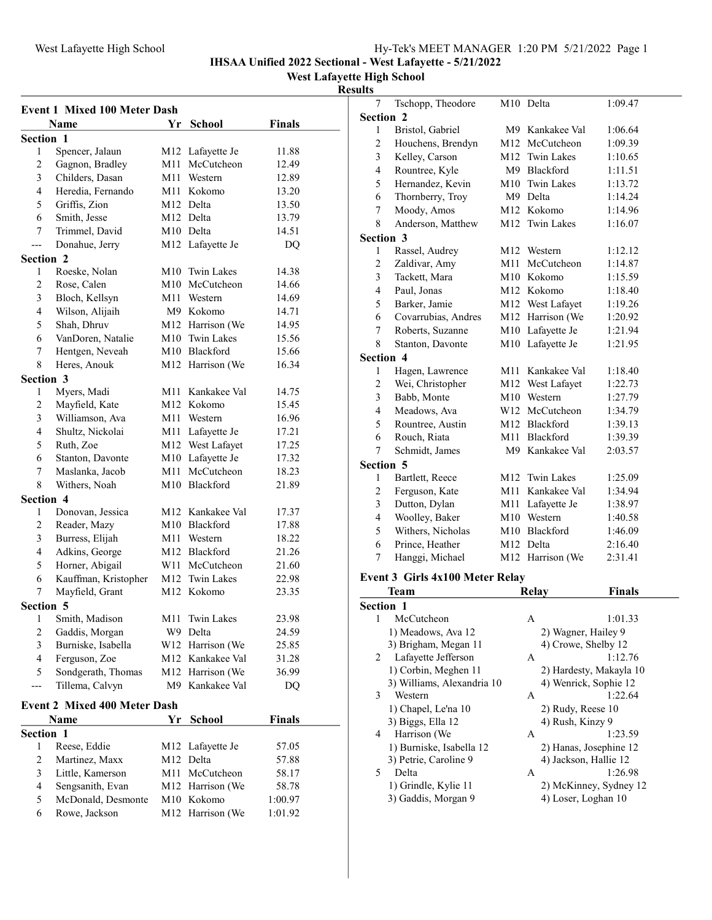IHSAA Unified 2022 Sectional - West Lafayette - 5/21/2022

#### West Lafayette High School

#### Results

| <b>Event 1 Mixed 100 Meter Dash</b> |                      |     |                              |         |  |  |
|-------------------------------------|----------------------|-----|------------------------------|---------|--|--|
|                                     | Name                 | Yr  | School                       | Finals  |  |  |
|                                     | <b>Section 1</b>     |     |                              |         |  |  |
| 1                                   | Spencer, Jalaun      |     | M12 Lafayette Je             | 11.88   |  |  |
| 2                                   | Gagnon, Bradley      | M11 | McCutcheon                   | 12.49   |  |  |
| 3                                   | Childers, Dasan      | M11 | Western                      | 12.89   |  |  |
| 4                                   | Heredia, Fernando    |     | M11 Kokomo                   | 13.20   |  |  |
| 5                                   | Griffis, Zion        |     | M12 Delta                    | 13.50   |  |  |
| 6                                   | Smith, Jesse         |     | M12 Delta                    | 13.79   |  |  |
| 7                                   | Trimmel, David       |     | M10 Delta                    | 14.51   |  |  |
| ---                                 | Donahue, Jerry       |     | M12 Lafayette Je             | DQ      |  |  |
| Section 2                           |                      |     |                              |         |  |  |
| 1                                   | Roeske, Nolan        |     | M10 Twin Lakes               | 14.38   |  |  |
| 2                                   | Rose, Calen          |     | M <sub>10</sub> McCutcheon   | 14.66   |  |  |
| 3                                   | Bloch, Kellsyn       | M11 | Western                      | 14.69   |  |  |
| 4                                   | Wilson, Alijaih      |     | M9 Kokomo                    | 14.71   |  |  |
| 5                                   | Shah, Dhruv          |     | M12 Harrison (We             | 14.95   |  |  |
| 6                                   | VanDoren, Natalie    |     | M10 Twin Lakes               | 15.56   |  |  |
| 7                                   | Hentgen, Neveah      |     | M10 Blackford                | 15.66   |  |  |
| 8                                   | Heres, Anouk         |     | M12 Harrison (We             | 16.34   |  |  |
| Section 3                           |                      |     |                              |         |  |  |
| 1                                   | Myers, Madi          |     | M <sub>11</sub> Kankakee Val | 14.75   |  |  |
| 2                                   | Mayfield, Kate       |     | M12 Kokomo                   | 15.45   |  |  |
| 3                                   | Williamson, Ava      |     | M11 Western                  | 16.96   |  |  |
| 4                                   | Shultz, Nickolai     |     | M11 Lafayette Je             | 17.21   |  |  |
| 5                                   | Ruth, Zoe            |     | M12 West Lafayet             | 17.25   |  |  |
| 6                                   | Stanton, Davonte     |     | M10 Lafayette Je             | 17.32   |  |  |
| 7                                   | Maslanka, Jacob      |     | M11 McCutcheon               | 18.23   |  |  |
| 8                                   | Withers, Noah        |     | M10 Blackford                | 21.89   |  |  |
| Section 4                           |                      |     |                              |         |  |  |
| 1                                   | Donovan, Jessica     |     | M12 Kankakee Val             | 17.37   |  |  |
| 2                                   | Reader, Mazy         |     | M10 Blackford                | 17.88   |  |  |
| 3                                   | Burress, Elijah      |     | M <sub>11</sub> Western      | 18.22   |  |  |
| 4                                   | Adkins, George       |     | M12 Blackford                | 21.26   |  |  |
| 5                                   | Horner, Abigail      |     | W11 McCutcheon               | 21.60   |  |  |
| 6                                   | Kauffman, Kristopher |     | M12 Twin Lakes               | 22.98   |  |  |
| 7                                   | Mayfield, Grant      |     | M12 Kokomo                   | 23.35   |  |  |
| Section 5                           |                      |     |                              |         |  |  |
| I                                   | Smith, Madison       | M11 | Twin Lakes                   | 23.98   |  |  |
| $\overline{\mathbf{c}}$             | Gaddis, Morgan       |     | W9 Delta                     | 24.59   |  |  |
| 3                                   | Burniske, Isabella   | W12 | Harrison (We                 | 25.85   |  |  |
| $\overline{4}$                      | Ferguson, Zoe        | M12 | Kankakee Val                 | 31.28   |  |  |
| 5                                   | Sondgerath, Thomas   | M12 | Harrison (We                 | 36.99   |  |  |
|                                     | Tillema, Calvyn      | M9  | Kankakee Val                 | DQ      |  |  |
| <b>Event 2 Mixed 400 Meter Dash</b> |                      |     |                              |         |  |  |
| <b>Name</b><br>Yr                   |                      |     | School                       | Finals  |  |  |
| Section 1                           |                      |     |                              |         |  |  |
| 1                                   | Reese, Eddie         | M12 | Lafayette Je                 | 57.05   |  |  |
| $\overline{c}$                      | Martinez, Maxx       | M12 | Delta                        | 57.88   |  |  |
| 3                                   | Little, Kamerson     | M11 | McCutcheon                   | 58.17   |  |  |
| 4                                   | Sengsanith, Evan     | M12 | Harrison (We                 | 58.78   |  |  |
| 5                                   | McDonald, Desmonte   | M10 | Kokomo                       | 1:00.97 |  |  |
| 6                                   | Rowe, Jackson        | M12 | Harrison (We                 | 1:01.92 |  |  |
|                                     |                      |     |                              |         |  |  |

| 7                | Tschopp, Theodore               |     | M <sub>10</sub> Delta      | 1:09.47       |
|------------------|---------------------------------|-----|----------------------------|---------------|
| <b>Section 2</b> |                                 |     |                            |               |
| 1                | Bristol, Gabriel                |     | M9 Kankakee Val            | 1:06.64       |
| 2                | Houchens, Brendyn               | M12 | McCutcheon                 | 1:09.39       |
| 3                | Kelley, Carson                  | M12 | Twin Lakes                 | 1:10.65       |
| $\overline{4}$   | Rountree, Kyle                  |     | M9 Blackford               | 1:11.51       |
| 5                | Hernandez, Kevin                |     | M10 Twin Lakes             | 1:13.72       |
| 6                | Thornberry, Troy                |     | M9 Delta                   | 1:14.24       |
| 7                | Moody, Amos                     |     | M12 Kokomo                 | 1:14.96       |
| 8                | Anderson, Matthew               | M12 | <b>Twin Lakes</b>          | 1:16.07       |
| Section 3        |                                 |     |                            |               |
| 1                | Rassel, Audrey                  |     | M <sub>12</sub> Western    | 1:12.12       |
| 2                | Zaldivar, Amy                   | M11 | McCutcheon                 | 1:14.87       |
| 3                | Tackett, Mara                   |     | M10 Kokomo                 | 1:15.59       |
| 4                | Paul, Jonas                     |     | M12 Kokomo                 | 1:18.40       |
| 5                | Barker, Jamie                   | M12 | West Lafayet               | 1:19.26       |
| 6                | Covarrubias, Andres             | M12 | Harrison (We               |               |
|                  |                                 |     |                            | 1:20.92       |
| 7                | Roberts, Suzanne                | M10 | Lafayette Je               | 1:21.94       |
| 8                | Stanton, Davonte                | M10 | Lafayette Je               | 1:21.95       |
| Section 4        |                                 |     |                            |               |
| 1                | Hagen, Lawrence                 | M11 | Kankakee Val               | 1:18.40       |
| 2                | Wei, Christopher                | M12 | West Lafayet               | 1:22.73       |
| 3                | Babb, Monte                     | M10 | Western                    | 1:27.79       |
| 4                | Meadows, Ava                    | W12 | McCutcheon                 | 1:34.79       |
| 5                | Rountree, Austin                |     | M12 Blackford              | 1:39.13       |
| 6                | Rouch, Riata                    | M11 | Blackford                  | 1:39.39       |
| 7                | Schmidt, James                  |     | M9 Kankakee Val            | 2:03.57       |
| <b>Section 5</b> |                                 |     |                            |               |
| 1                | Bartlett, Reece                 |     | M <sub>12</sub> Twin Lakes | 1:25.09       |
| 2                | Ferguson, Kate                  | M11 | Kankakee Val               | 1:34.94       |
| 3                | Dutton, Dylan                   | M11 | Lafayette Je               | 1:38.97       |
| 4                | Woolley, Baker                  |     | M10 Western                | 1:40.58       |
| 5                | Withers, Nicholas               | M10 | Blackford                  | 1:46.09       |
| 6                | Prince, Heather                 | M12 | Delta                      | 2:16.40       |
| 7                | Hanggi, Michael                 |     | M12 Harrison (We           | 2:31.41       |
|                  |                                 |     |                            |               |
|                  | Event 3 Girls 4x100 Meter Relay |     |                            |               |
|                  | <b>Team</b>                     |     | Relay                      | <b>Finals</b> |
| <b>Section 1</b> |                                 |     |                            |               |
| 1                | McCutcheon                      |     | A                          | 1:01.33       |
|                  | 1) Meadows, Ava 12              |     | 2) Wagner, Hailey 9        |               |
|                  | 3) Brigham, Megan 11            |     | 4) Crowe, Shelby 12        |               |
| 2                | Lafayette Jefferson             |     | А                          | 1:12.76       |
|                  | 1) Corbin, Meghen 11            |     | 2) Hardesty, Makayla 10    |               |
|                  | 3) Williams, Alexandria 10      |     | 4) Wenrick, Sophie 12      |               |
| 3                | Western                         |     | A                          | 1:22.64       |
|                  | 1) Chapel, Le'na 10             |     | $2)$ Rudy, Reese 10        |               |
|                  | 3) Biggs, Ella 12               |     | 4) Rush, Kinzy 9           |               |
| 4                | Harrison (We                    |     | А                          | 1:23.59       |
|                  | 1) Burniske, Isabella 12        |     | 2) Hanas, Josephine 12     |               |
|                  | 3) Petrie, Caroline 9           |     | 4) Jackson, Hallie 12      |               |
| 5                | Delta                           |     | А                          | 1:26.98       |
|                  | 1) Grindle, Kylie 11            |     | 2) McKinney, Sydney 12     |               |
|                  | 3) Gaddis, Morgan 9             |     | 4) Loser, Loghan 10        |               |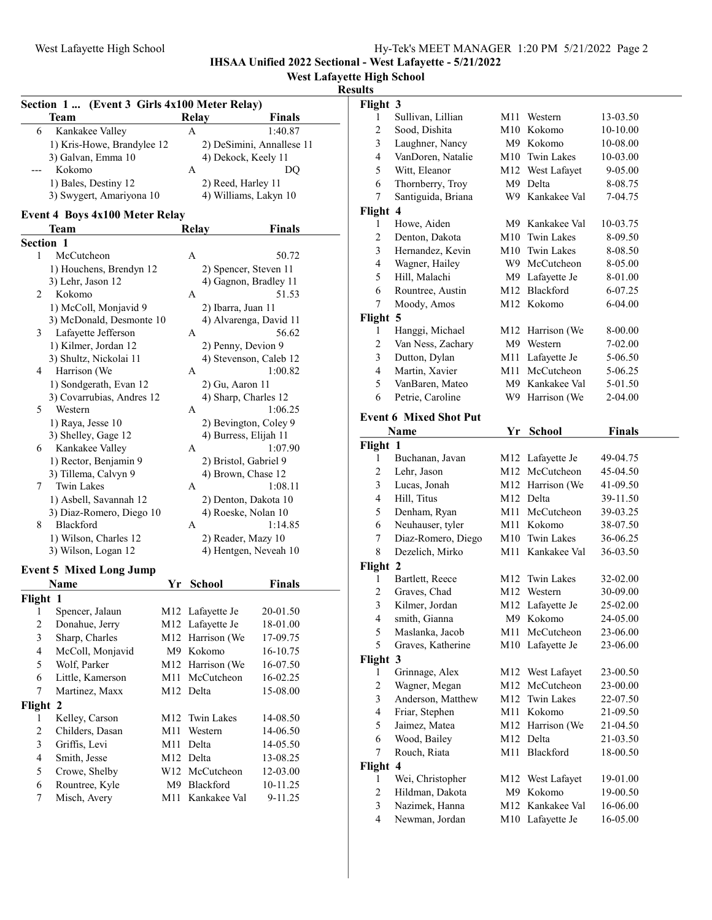IHSAA Unified 2022 Sectional - West Lafayette - 5/21/2022

## West Lafayette High School

#### Results

|           | Section 1  (Event 3 Girls 4x100 Meter Relay)        |     |                                              |                           |
|-----------|-----------------------------------------------------|-----|----------------------------------------------|---------------------------|
|           | Team                                                |     | <b>Relay</b>                                 | Finals                    |
| 6         | Kankakee Valley                                     |     | A                                            | 1:40.87                   |
|           | 1) Kris-Howe, Brandylee 12                          |     |                                              | 2) DeSimini, Annallese 11 |
|           | 3) Galvan, Emma 10                                  |     | 4) Dekock, Keely 11                          |                           |
|           | Kokomo                                              |     | A                                            | DQ                        |
|           | 1) Bales, Destiny 12                                |     | 2) Reed, Harley 11                           |                           |
|           | 3) Swygert, Amariyona 10                            |     | 4) Williams, Lakyn 10                        |                           |
|           |                                                     |     |                                              |                           |
|           | <b>Event 4 Boys 4x100 Meter Relay</b><br>Team       |     | <b>Relay</b>                                 | <b>Finals</b>             |
| Section 1 |                                                     |     |                                              |                           |
| 1         | McCutcheon                                          |     | А                                            | 50.72                     |
|           |                                                     |     |                                              |                           |
|           | 1) Houchens, Brendyn 12                             |     | 2) Spencer, Steven 11                        |                           |
| 2         | 3) Lehr, Jason 12<br>Kokomo                         |     | 4) Gagnon, Bradley 11<br>A                   | 51.53                     |
|           |                                                     |     |                                              |                           |
|           | 1) McColl, Monjavid 9<br>3) McDonald, Desmonte 10   |     | 2) Ibarra, Juan 11                           |                           |
| 3         | Lafayette Jefferson                                 |     | 4) Alvarenga, David 11<br>А                  | 56.62                     |
|           | 1) Kilmer, Jordan 12                                |     |                                              |                           |
|           | 3) Shultz, Nickolai 11                              |     | 2) Penny, Devion 9<br>4) Stevenson, Caleb 12 |                           |
| 4         | Harrison (We                                        |     | А                                            | 1:00.82                   |
|           |                                                     |     |                                              |                           |
|           | 1) Sondgerath, Evan 12<br>3) Covarrubias, Andres 12 |     | 2) Gu, Aaron 11<br>4) Sharp, Charles 12      |                           |
| 5         | Western                                             |     | А                                            | 1:06.25                   |
|           | 1) Raya, Jesse 10                                   |     | 2) Bevington, Coley 9                        |                           |
|           | 3) Shelley, Gage 12                                 |     | 4) Burress, Elijah 11                        |                           |
| 6         | Kankakee Valley                                     |     | A                                            | 1:07.90                   |
|           | 1) Rector, Benjamin 9                               |     | 2) Bristol, Gabriel 9                        |                           |
|           | 3) Tillema, Calvyn 9                                |     | 4) Brown, Chase 12                           |                           |
| 7         | <b>Twin Lakes</b>                                   |     | А                                            | 1:08.11                   |
|           | 1) Asbell, Savannah 12                              |     | 2) Denton, Dakota 10                         |                           |
|           | 3) Diaz-Romero, Diego 10                            |     | 4) Roeske, Nolan 10                          |                           |
| 8         | Blackford                                           |     | A                                            | 1:14.85                   |
|           | 1) Wilson, Charles 12                               |     |                                              |                           |
|           | 3) Wilson, Logan 12                                 |     | 2) Reader, Mazy 10<br>4) Hentgen, Neveah 10  |                           |
|           |                                                     |     |                                              |                           |
|           | <b>Event 5 Mixed Long Jump</b>                      |     |                                              |                           |
|           | Name                                                | Yr  | <b>School</b>                                | Finals                    |
| Flight 1  |                                                     |     |                                              |                           |
| 1         | Spencer, Jalaun                                     | M12 | Lafayette Je                                 | 20-01.50                  |
| 2         | Donahue, Jerry                                      | M12 | Lafayette Je                                 | 18-01.00                  |
| 3         | Sharp, Charles                                      | M12 | Harrison (We                                 | 17-09.75                  |
| 4         | McColl, Monjavid                                    | M9  | Kokomo                                       | 16-10.75                  |
| 5         | Wolf, Parker                                        | M12 | Harrison (We                                 | 16-07.50                  |
| 6         | Little, Kamerson                                    | M11 | McCutcheon                                   | 16-02.25                  |
| 7         | Martinez, Maxx                                      | M12 | Delta                                        | 15-08.00                  |
| Flight    | $\overline{2}$                                      |     |                                              |                           |
| 1         | Kelley, Carson                                      | M12 | Twin Lakes                                   | 14-08.50                  |
| 2         | Childers, Dasan                                     | M11 | Western                                      | 14-06.50                  |
| 3         | Griffis, Levi                                       | M11 | Delta                                        | 14-05.50                  |
| 4         | Smith, Jesse                                        | M12 | Delta                                        | 13-08.25                  |
| 5         | Crowe, Shelby                                       | W12 | McCutcheon                                   | 12-03.00                  |
| 6         | Rountree, Kyle                                      | M9  | Blackford                                    | 10-11.25                  |
| 7         | Misch, Avery                                        | M11 | Kankakee Val                                 | 9-11.25                   |

| Flight 3                |                               |     |                         |               |  |
|-------------------------|-------------------------------|-----|-------------------------|---------------|--|
| 1                       | Sullivan, Lillian             |     | M <sub>11</sub> Western | 13-03.50      |  |
| $\overline{c}$          | Sood, Dishita                 |     | M10 Kokomo              | 10-10.00      |  |
| $\overline{\mathbf{3}}$ | Laughner, Nancy               |     | M9 Kokomo               | 10-08.00      |  |
| $\overline{\mathbf{4}}$ | VanDoren, Natalie             |     | M10 Twin Lakes          | 10-03.00      |  |
| 5                       | Witt, Eleanor                 |     | M12 West Lafayet        | 9-05.00       |  |
| 6                       | Thornberry, Troy              |     | M9 Delta                | 8-08.75       |  |
| 7                       | Santiguida, Briana            |     | W9 Kankakee Val         | 7-04.75       |  |
| Flight 4                |                               |     |                         |               |  |
| 1                       | Howe, Aiden                   |     | M9 Kankakee Val         | 10-03.75      |  |
| $\overline{c}$          | Denton, Dakota                |     | M10 Twin Lakes          | 8-09.50       |  |
| 3                       | Hernandez, Kevin              |     | M10 Twin Lakes          | 8-08.50       |  |
| 4                       | Wagner, Hailey                |     | W9 McCutcheon           | 8-05.00       |  |
| 5                       | Hill, Malachi                 |     | M9 Lafayette Je         | 8-01.00       |  |
| 6                       | Rountree, Austin              |     | M12 Blackford           | 6-07.25       |  |
| 7                       | Moody, Amos                   |     | M12 Kokomo              | 6-04.00       |  |
| Flight 5                |                               |     |                         |               |  |
| 1                       | Hanggi, Michael               |     | M12 Harrison (We        | 8-00.00       |  |
| $\overline{c}$          | Van Ness, Zachary             |     | M9 Western              | 7-02.00       |  |
| 3                       | Dutton, Dylan                 |     | M11 Lafayette Je        | 5-06.50       |  |
| $\overline{4}$          | Martin, Xavier                | M11 | McCutcheon              | 5-06.25       |  |
| 5                       | VanBaren, Mateo               |     | M9 Kankakee Val         | 5-01.50       |  |
| 6                       | Petrie, Caroline              | W9  | Harrison (We            | 2-04.00       |  |
|                         |                               |     |                         |               |  |
|                         | <b>Event 6 Mixed Shot Put</b> |     |                         |               |  |
|                         | Name                          | Yr  | <b>School</b>           | <b>Finals</b> |  |
| Flight 1                |                               |     |                         |               |  |
| 1                       | Buchanan, Javan               |     | M12 Lafayette Je        | 49-04.75      |  |
| $\overline{c}$          | Lehr, Jason                   |     | M12 McCutcheon          | 45-04.50      |  |
| 3                       | Lucas, Jonah                  |     | M12 Harrison (We        | 41-09.50      |  |
| $\overline{4}$          | Hill, Titus                   |     | M12 Delta               | 39-11.50      |  |
| 5                       | Denham, Ryan                  |     | M11 McCutcheon          | 39-03.25      |  |
| 6                       | Neuhauser, tyler              |     | M11 Kokomo              | 38-07.50      |  |
| 7                       | Diaz-Romero, Diego            |     | M10 Twin Lakes          | 36-06.25      |  |
| 8                       | Dezelich, Mirko               | M11 | Kankakee Val            | 36-03.50      |  |
| Flight 2                |                               |     |                         |               |  |
| 1                       | Bartlett, Reece               | M12 | <b>Twin Lakes</b>       | 32-02.00      |  |
| $\overline{2}$          | Graves, Chad                  | M12 | Western                 | 30-09.00      |  |
| 3                       | Kilmer, Jordan                | M12 | Lafayette Je            | 25-02.00      |  |
| 4                       | smith, Gianna                 | M9  | Kokomo                  | 24-05.00      |  |
| 5                       | Maslanka, Jacob               | M11 | McCutcheon              | 23-06.00      |  |
| 5                       | Graves, Katherine             | M10 | Lafayette Je            | 23-06.00      |  |
| Flight 3                |                               |     |                         |               |  |
| 1                       | Grinnage, Alex                |     | M12 West Lafayet        | 23-00.50      |  |
| $\overline{c}$          | Wagner, Megan                 | M12 | McCutcheon              | 23-00.00      |  |
| $\overline{\mathbf{3}}$ | Anderson, Matthew             | M12 | Twin Lakes              | 22-07.50      |  |
| $\overline{\mathbf{4}}$ | Friar, Stephen                | M11 | Kokomo                  | 21-09.50      |  |
| 5                       | Jaimez, Matea                 | M12 | Harrison (We            | 21-04.50      |  |
| 6                       | Wood, Bailey                  | M12 | Delta                   | 21-03.50      |  |
| 7                       | Rouch, Riata                  | M11 | Blackford               | 18-00.50      |  |
| Flight                  | $\overline{\mathbf{4}}$       |     |                         |               |  |
| 1                       | Wei, Christopher              | M12 | West Lafayet            | 19-01.00      |  |
| $\overline{c}$          | Hildman, Dakota               | M9  | Kokomo                  | 19-00.50      |  |
| $\overline{\mathbf{3}}$ | Nazimek, Hanna                | M12 | Kankakee Val            | 16-06.00      |  |
| $\overline{\mathbf{4}}$ | Newman, Jordan                | M10 | Lafayette Je            | 16-05.00      |  |
|                         |                               |     |                         |               |  |